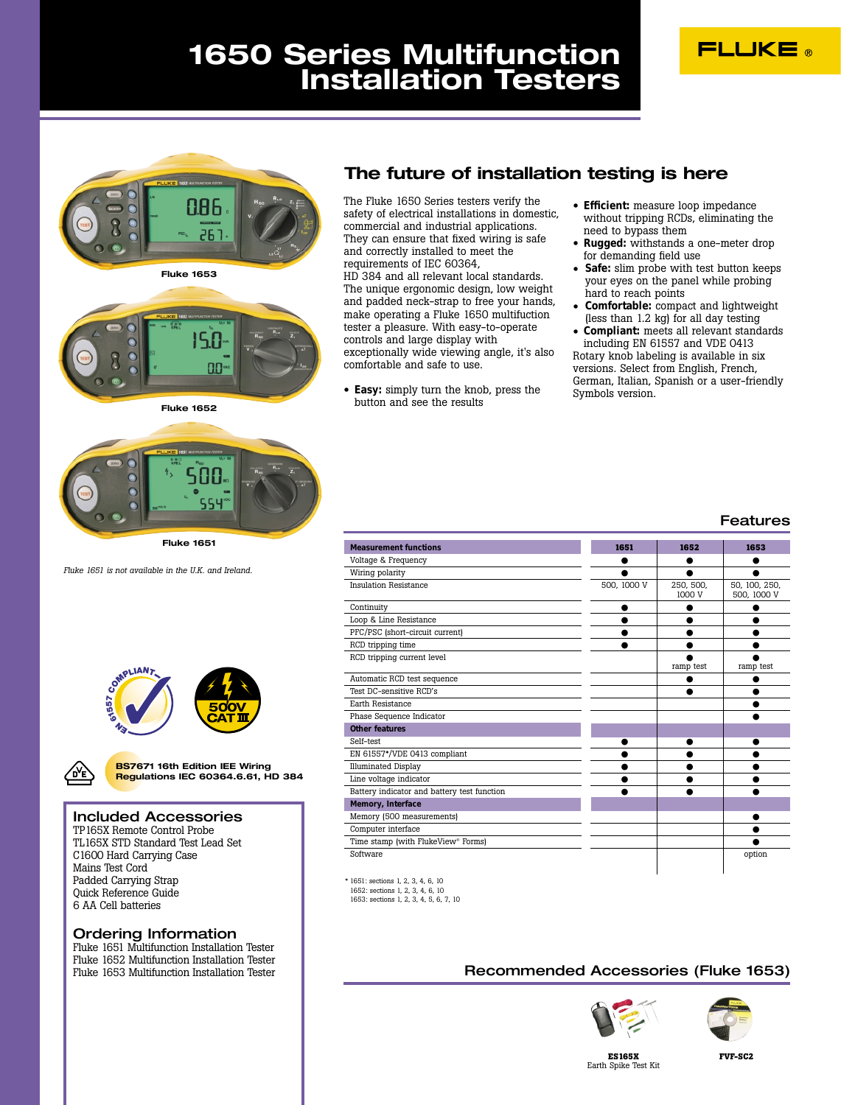# **FLUKE**

# **1650 Series Multifunction Installation Testers**



**Fluke 1653**



**Fluke 1652**



**Fluke 1651**

*Fluke 1651 is not available in the U.K. and Ireland.*





**BS7671 16th Edition IEE Wiring Regulations IEC 60364.6.61, HD 384**

### Included Accessories

TP165X Remote Control Probe TL165X STD Standard Test Lead Set C1600 Hard Carrying Case Mains Test Cord Padded Carrying Strap Quick Reference Guide 6 AA Cell batteries

### Ordering Information

Fluke 1651 Multifunction Installation Tester Fluke 1652 Multifunction Installation Tester Fluke 1653 Multifunction Installation Tester

## **The future of installation testing is here**

The Fluke 1650 Series testers verify the safety of electrical installations in domestic, commercial and industrial applications. They can ensure that fixed wiring is safe and correctly installed to meet the requirements of IEC 60364, HD 384 and all relevant local standards. The unique ergonomic design, low weight and padded neck-strap to free your hands, make operating a Fluke 1650 multifuction tester a pleasure. With easy-to-operate controls and large display with exceptionally wide viewing angle, it's also comfortable and safe to use.

• **Easy:** simply turn the knob, press the button and see the results

- **Efficient:** measure loop impedance without tripping RCDs, eliminating the need to bypass them
- **Rugged:** withstands a one-meter drop for demanding field use
- **Safe:** slim probe with test button keeps your eyes on the panel while probing hard to reach points
- **Comfortable:** compact and lightweight (less than 1.2 kg) for all day testing
- **Compliant:** meets all relevant standards including EN 61557 and VDE 0413 Rotary knob labeling is available in six versions. Select from English, French,

German, Italian, Spanish or a user-friendly

Symbols version.

### Features

| <b>Measurement functions</b>                   | 1651        | 1652                | 1653                         |
|------------------------------------------------|-------------|---------------------|------------------------------|
| Voltage & Frequency                            |             | ●                   |                              |
| Wiring polarity                                |             |                     |                              |
| <b>Insulation Resistance</b>                   | 500, 1000 V | 250, 500,<br>1000 V | 50, 100, 250,<br>500, 1000 V |
| Continuity                                     |             |                     |                              |
| Loop & Line Resistance                         |             |                     |                              |
| PFC/PSC (short-circuit current)                |             |                     |                              |
| RCD tripping time                              |             |                     |                              |
| RCD tripping current level                     |             | ramp test           | ramp test                    |
| Automatic RCD test sequence                    |             |                     |                              |
| Test DC-sensitive RCD's                        |             |                     |                              |
| Earth Resistance                               |             |                     |                              |
| Phase Sequence Indicator                       |             |                     |                              |
| Other features                                 |             |                     |                              |
| Self-test                                      |             |                     |                              |
| EN 61557*/VDE 0413 compliant                   |             |                     |                              |
| <b>Illuminated Display</b>                     |             |                     |                              |
| Line voltage indicator                         |             |                     |                              |
| Battery indicator and battery test function    |             |                     |                              |
| Memory, Interface                              |             |                     |                              |
| Memory (500 measurements)                      |             |                     |                              |
| Computer interface                             |             |                     |                              |
| Time stamp (with FlukeView <sup>®</sup> Forms) |             |                     |                              |
| Software                                       |             |                     | option                       |

\* 1651: sections 1, 2, 3, 4, 6, 10 1652: sections 1, 2, 3, 4, 6, 10 1653: sections 1, 2, 3, 4, 5, 6, 7, 10

 $\overline{a}$ 

 $\overline{a}$ I

I

## Recommended Accessories (Fluke 1653)





**ES165X** Earth Spike Test Kit **FVF-SC2**